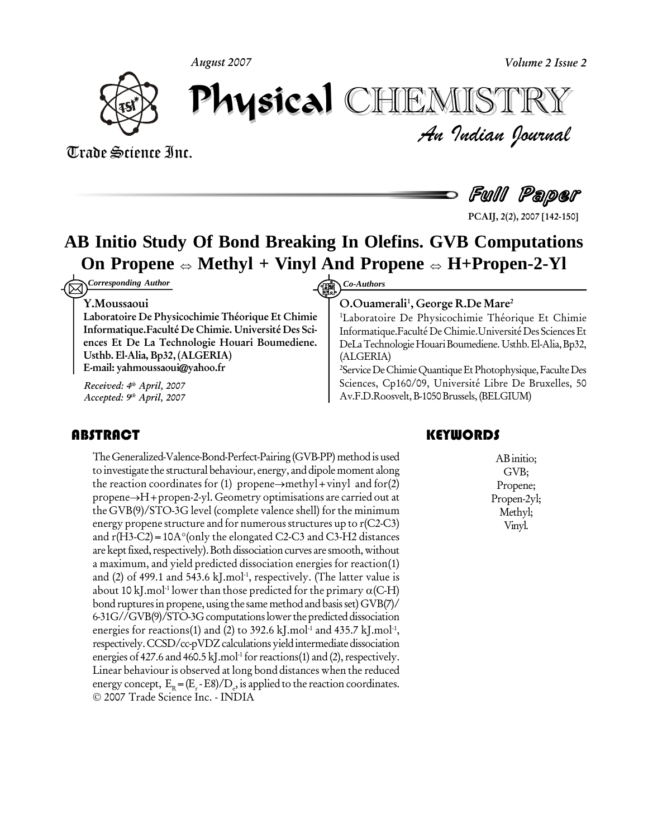**August 2007**



*Volume 2 Issue 2*<br>IISTRY<br>*Indian Oournal* August 2007<br>**Physical** Report of **1** CHEMISTRY

# Trade Science Inc. Trade Science Inc.



**PCAIJ, 2(2), 2007 [142-150]**

# AB Initio Study Of Bond Breaking In Olefins. GVB Computations<br>On Propene  $\Leftrightarrow$  Methyl + Vinyl And Propene  $\Leftrightarrow$  H+Propen-2-Yl

*Corresponding Author* **Community Co-Authors** 

#### **Y.Moussaoui**

**Laboratoire De Physicochimie ThÈorique Et Chimie Informatique.FacultÈ De Chimie. UniversitÈ Des Sci ences Et De La Technologie Houari Boumediene. Usthb. El-Alia, Bp32, (ALGERIA) E-mail: [yahmoussaoui@yahoo.fr](mailto:yahmoussaoui@yahoo.fr)**

**Received: 4 th April, 2007 Accepted: 9 th April, 2007**

The Generalized-Valenc<br>to investigate the structur<br>the reaction coordinate TheGeneralized-Valence-Bond-Perfect-Pairing(GVB-PP) methodis used to investigate the structural behaviour, energy, and dipole moment along The Generalized-Valence-Bond-Perfect-Pairing (GVB-PP) method is used<br>to investigate the structural behaviour, energy, and dipole moment along<br>the reaction coordinates for (1) propene→methyl+vinyl and for(2) the reaction coordinates for (1) propene $\rightarrow$ methyl+vinyl and for(2)<br>propene $\rightarrow$ H+propen-2-yl. Geometry optimisations are carried out at the GVB(9)/STO-3G level (complete valence shell) forthe minimum energy propene structure and for numerous structures up to r(C2-C3) the GVB(9)/STO-3G level (complete valence shell) for the minimum<br>energy propene structure and for numerous structures up to r(C2-C3)<br>and r(H3-C2) = 10A°(only the elongated C2-C3 and C3-H2 distances are kept fixed, respectively). Both dissociation curves are smooth, without a maximum, and yield predicted dissociation energies for reaction(1)<br>and (2) of 499.1 and 543.6 kJ.mol<sup>1</sup>, respectively. (The latter value is<br>about 10 kJ.mol<sup>1</sup> lower than those predicted for the primary  $\alpha$ (C-H) and (2) of 499.1 and 543.6 kJ.mol<sup>1</sup>, respectively. (The latter value is about 10 kJ.mol<sup>.1</sup> lowe bond ruptures in propene, using the same method and basis set) GVB(7)/ 6-31G//GVB(9)/STO-3G computations lower the predicted dissociation energies for reactions(1) and (2) to 392.6 kJ.mol $^{\text{-1}}$  and 435.7 kJ.mol $^{\text{-1}}$ , respectively. CCSD/cc-pVDZ calculations yield intermediate dissociation energies of 427.6 and 460.5 kJ.mol<sup>1</sup> for reactions(1) and (2), respectively. Linear behaviour is observed at long bond distances when the reduced energy concept,  $E_R = (E_r - E8)/D_e$ , is applied to the reaction coordinates. 2007 Trade Science Inc. - INDIA

#### **O.Ouamerali 1 , George R.De Mare 2**

<sup>1</sup>Laboratoire De Physicochimie Théorique Et Chimie Informatique.Faculté De Chimie.Université Des Sciences Et DeLaTechnologieHouariBoumediene.Usthb.El-Alia,Bp32, (ALGERIA)

<sup>2</sup>Service De Chimie Quantique Et Photophysique, Faculte Des Sciences, Cp160/09, Université Libre De Bruxelles, 50 Av.F.D.Roosvelt,B-1050Brussels,(BELGIUM)

# **KEYWORDS**

AB initio;<br>GVB;<br>Propene; ABinitio; GVB; Propene; Propen-2yl; Methyl; Vinyl.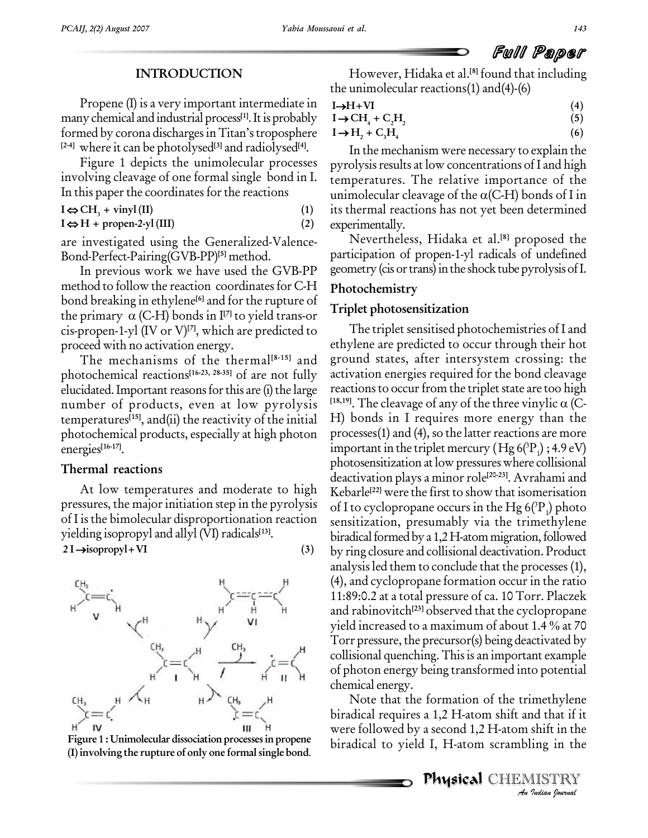# **INTRODUCTION**

Propene (I) is a very important intermediate in many chemical and industrial process<sup>[1]</sup>. It is probably  $I \rightarrow CH$ formed by corona discharges in Titan's troposphere  $I \rightarrow H$ **[2-4]** where it can be photolysed **[3]** and radiolysed **[4]**.

Figure 1 depicts the unimolecular processes In this paper the coordinates for the reactions<br> $I \Leftrightarrow CH_1 + vinyI (II)$  (1)

# $I \Leftrightarrow H + \text{propen-2-yl (III)}$  (2)

are investigated using the Generalized-Valence- Bond-Perfect-Pairing(GVB-PP) **[5]** method.

In previous work we have used the GVB-PP method to follow the reaction coordinates for C-H bond breaking in ethylene<sup>[6]</sup> and for the rupture of <sub>ru</sub> method to follow the reaction coordinate<br>bond breaking in ethylene<sup>[6]</sup> and for the r<br>the primary  $\alpha$  (C-H) bonds in I<sup>[7]</sup> to yiele the primary  $\alpha$  (C-H) bonds in  $I^{[7]}$  to yield trans-or cis-propen-1-yl (IV or V) **[7]**, which are predicted to proceed with no activation energy.

The mechanisms of the thermal **[8-15]** and photochemical reactions **[16-23, 28-35]** of are not fully elucidated. Important reasons for this are (i) the large number of products, even at low pyrolysis  $[18,19]$ . The cleavage of any of the three vinylic  $\alpha$  (Ctemperatures **[15]**, and(ii) the reactivity of the initial photochemical products, especially at high photon energies **[16-17]**.

# **Thermal reactions**

At low temperatures and moderate to high pressures, the major initiation step in the pyrolysis of I is the bimolecular disproportionation reaction yielding isopropyl and allyl (VI) radicals<sup>[13]</sup>. or 1 is the bimolecular disproportionation reaction<br>
yielding isopropyl and allyl (VI) radicals<sup>[13]</sup>. biology biology biology biology biology biology biology biology biology biology biology biology biology biology biolog





However, Hidaka et al. **[8]** found that including the unimolecular reactions(1) and(4)-(6)<br>  $I \rightarrow H+VI$  (4)

The unimolecular reactions(1) and(4)-(6)  
\nI
$$
\rightarrow
$$
H+VI (4)  
\nI $\rightarrow$ CH<sub>4</sub> + C<sub>2</sub>H<sub>2</sub> (5)

$$
I \rightarrow H + VI
$$
  
\n
$$
I \rightarrow CH_4 + C_2H_2
$$
  
\n
$$
I \rightarrow H_2 + C_3H_4
$$
  
\n(4)  
\n(5)  
\n(6)

$$
\rightarrow 11_2 + C_3 11_4 \tag{6}
$$

involving cleavage of one formal single bond in I. temperatures. The relative importance of the In this paper the coordinates for the reactions unimolecular cleavage of the  $\alpha$ (C-H) bonds of I in In the mechanism were necessary to explain the pyrolysis results at low concentrations of I and high<br>temperatures. The relative importance of the<br>unimolecular cleavage of the  $\alpha$ (C-H) bonds of I in temperatures. The relative importance of the its thermal reactions has not yet been determined experimentally.

> Nevertheless, Hidaka et al. **[8]** proposed the participation of propen-1-yl radicals of undefined geometry (cis or trans) in the shock tube pyrolysis of I.

# **Photochemistry**

## **Triplet photosensitization**

The triplet sensitised photochemistries of I and ethylene are predicted to occur through their hot ground states, after intersystem crossing: the activation energies required for the bond cleavage reactions to occur from the triplet state are too high activation energies required for the bond cleavage<br>reactions to occur from the triplet state are too high<br><sup>[18,19]</sup>. The cleavage of any of the three vinylic  $\alpha$  (C-H) bonds in I requires more energy than the processes $(1)$  and  $(4)$ , so the latter reactions are more important in the triplet mercury (Hg  $6(^3P_1)$  ; 4.9 eV) photosensitization at low pressures where collisional deactivation plays a minor role<sup>[20-23]</sup>. Avrahami and Kebarle **[22]** were the first to show that isomerisation of I to cyclopropane occurs in the Hg 6( $^{3}P_{1}$ ) photo sensitization, presumably via the trimethylene biradical formed by a  $1,2$  H-atom migration, followed by ring closure and collisional deactivation. Product analysisled them to conclude that the processes (1), (4), and cyclopropane formation occur in the ratio 11:89:0.2 at a total pressure of ca. 10 Torr. Placzek and rabinovitch **[23]** observed that the cyclopropane 11:89:0.2 at a total pressure of ca. 10 Torr. Placzek<br>and rabinovitch<sup>[23]</sup> observed that the cyclopropane<br>yield increased to a maximum of about 1.4 % at 70 Torr pressure, the precursor(s) being deactivated by collisional quenching. Thisis an important example of photon energy being transformed into potential chemical energy.

*An*Note that the formation of the trimethylene *Indianal*<br>*Indianal*<br>*IISTRY*<br>*IISTRY*<br>*Indian bouvad* biradical requires a 1,2 H-atom shift and that if it were followed by a second 1,2 H-atom shift in the biradical to yield I, H-atom scrambling in the **Figure <sup>1</sup> : Unimolecular dissociation processesin propene**

Physical CHEMISTRY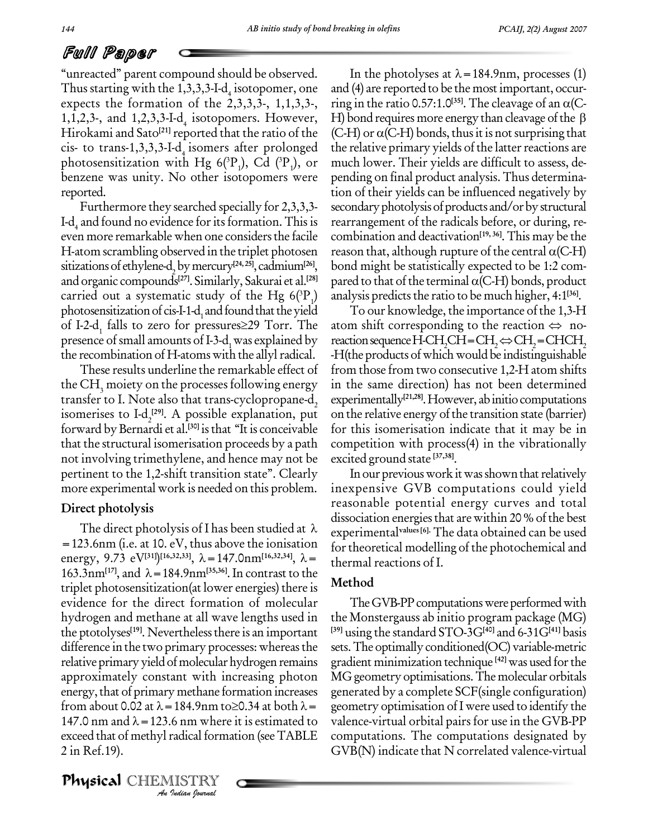ìunreactedî parent compound should be observed. Thus starting with the 1,3,3,3-I-d<sub>4</sub> isotopomer, one and  $(4)$ expects the formation of the  $2,3,3,3$ -,  $1,1,3,3$ -, 1,1,2,3-, and 1,2,3,3-I-d<sub>4</sub> isotopomers. However, H Hirokami and Sato<sup>[21]</sup> reported that the ratio of the (C-H cis- to trans-1,3,3,3-I-d<sub>4</sub> isomers after prolonged the rela photosensitization with Hg 6( ${}^{3}P_{1}$ ), Cd ( ${}^{3}P_{1}$ ), or muc benzene was unity. No other isotopomers were reported.

Furthermore they searched specially for 2,3,3,3- I-d, and found no evidence for its formation. This is even more remarkable when one considersthe facile H-atom scrambling observed in the triplet photosen sitizations of ethylene-d<sub>2</sub> by mercury<sup>[24, 25]</sup>, cadmium<sup>[26]</sup>, bc and organic compounds **[27]**. Similarly, Sakurai et al. **[28]** carried out a systematic study of the Hg  $6(^{3}P_{1})$  analy<br>photosensitization of cis-I-1-d<sub>1</sub> and found that the yield T<br>of I-2-d<sub>1</sub> falls to zero for pressures≥29 Torr. The atom photosensitization of cis-I-1-d<sub>1</sub> and found that the yield<br>of I-2-d<sub>1</sub> falls to zero for pressures  $\geq$ 29 Torr. The presence of small amounts of I-3-d, was explained by reaction sequence H-CH, CH=CH,  $\Leftrightarrow$  CH, = CHCH, the recombination of H-atoms with the allyl radical.

These results underline the remarkable effect of the  $CH<sub>3</sub>$  moiety on the processes following energy transfer to I. Note also that trans-cyclopropane-d<sub>2</sub> isomerises to I-d<sub>2</sub><sup>[29]</sup>. A possible explanation, put on t forward by Bernardi et al.<sup>[30]</sup> is that "It is conceivable for tl that the structural isomerisation proceeds by a path not involving trimethylene, and hence may not be pertinent to the 1,2-shift transition state". Clearly more experimental work is needed on this problem.

# **Direct photolysis**

from about 0.02 at  $\lambda$  = 184.9nm to  $\geq$ 0.34 at both  $\lambda$  = 147.0 nm and  $\lambda = 123.6$  nm where it is estimated to<br>exceed that of methyl radical formation (see TABLE<br>2 in Ref.19).<br>**Physical** CHEMISTRY The direct photolysis of I has been studied at  $\lambda$ =123.6nm (i.e. at 10. eV, thus above the ionisation The direct photolysis of I has been studied at  $\lambda$  experiments<br>=123.6nm (i.e. at 10. eV, thus above the ionisation for theoretic<br>energy, 9.73 eV<sup>[31]</sup>)<sup>[16,32,33]</sup>,  $\lambda$ =147.0nm<sup>[16,32,34]</sup>,  $\lambda$ = thermal read =123.6nm (i.e. at 10. eV, thus above the ionisation for the energy, 9.73 eV<sup>[31]</sup>)<sup>[16,32,33]</sup>,  $\lambda$  = 147.0nm<sup>[16,32,34]</sup>,  $\lambda$  = therm 163.3nm<sup>[17]</sup>, and  $\lambda$  = 184.9nm<sup>[35,36]</sup>. In contrast to the triplet photosensitization(at lower energies) there is evidence for the direct formation of molecular hydrogen and methane at all wave lengths used in the ptotolyses<sup>[19]</sup>. Nevertheless there is an important <sup>[39]</sup> t difference in the two primary processes: whereas the relative primary yield of molecular hydrogen remains approximately constant with increasing photon energy, that of primary methane formation increases gene approximately constant with increasing photon MG geometr<br>energy, that of primary methane formation increases generated by<br>from about 0.02 at  $\lambda = 184.9$ nm to $\geq 0.34$  at both  $\lambda =$  geometry op energy, that of primary methane formation increases generat<br>from about 0.02 at  $\lambda = 184.9$ nm to $\geq$ 0.34 at both  $\lambda =$  geomet<br>147.0 nm and  $\lambda = 123.6$  nm where it is estimated to valence exceed that of methyl radical formation (see TABLE 2 in Ref.19).

Physical CHEMISTRY

In the photolyses at  $\lambda$  = 184.9nm, processes (1) and (4) are reported to be the mostimportant, occur- In the photolyses at  $\lambda = 184.9$ nm, processes (1)<br>and (4) are reported to be the most important, occur-<br>ring in the ratio 0.57:1.0<sup>[35]</sup>. The cleavage of an  $\alpha$ (Cand (4) are reported to be the most important, occurring in the ratio 0.57:1.0<sup>[35]</sup>. The cleavage of an  $\alpha$ (C-H) bond requires more energy than cleavage of the  $\beta$ H) bond requires more energy than cleavage of the  $\beta$  (C-H) or  $\alpha$ (C-H) bonds, thus it is not surprising that the relative primary yields of the latter reactions are much lower. Their yields are difficult to assess, de pending on final product analysis. Thus determination of their yields can be influenced negatively by secondary photolysis of products and/or by structural rearrangement of the radicals before, or during, re combination and deactivation **[19, 36]**.This may be the rearrangement of the radicals before, or during, recombination and deactivation<sup>[19,36]</sup>. This may be the reason that, although rupture of the central  $\alpha$ (C-H) bond might be statistically expected to be 1:2 com reason that, although rupture of the central  $\alpha$ (C-H) bond might be statistically expected to be 1:2 compared to that of the terminal  $\alpha$ (C-H) bonds, product analysis predicts the ratio to be much higher, 4:1<sup>[36]</sup>.

To our knowledge, the importance of the 1,3-H analysis predicts the ratio to be much higher, 4:1<sup>[36]</sup>.<br>To our knowledge, the importance of the 1,3-H<br>atom shift corresponding to the reaction  $\Leftrightarrow$  no-To our knowledge, the importance of the 1,3-H<br>atom shift corresponding to the reaction  $\Leftrightarrow$  no-<br>reaction sequence H-CH<sub>2</sub>CH=CH<sub>2</sub> $\Leftrightarrow$ CH<sub>2</sub>=CHCH<sub>2</sub>  $-H$ (the products of which would be indistinguishable from those from two consecutive 1,2-H atom shifts in the same direction) has not been determined experimentally **[21,28]**.However, abinitiocomputations on the relative energy of the transition state (barrier) for this isomerisation indicate that it may be in competition with process(4) in the vibrationally excited ground state **[37,38]**.

In our previous work it was shown that relatively inexpensive GVB computations could yield reasonable potential energy curves and total dissociation energies that are within 20 % of the best experimental**values [6].** The data obtained can be used for theoretical modelling of the photochemical and thermal reactions of I.

# **Method**

The GVB-PP computations were performed with the Monstergauss ab initio program package (MG) **[39]** using the standard STO-3G**[40]** and 6-31G**[41]** basis sets.The optimally conditioned(OC) variable-metric gradient minimization technique **[42]** was used forthe MG geometry optimisations. The molecular orbitals generated by a complete SCF(single configuration) geometry optimisation ofI were used to identify the valence-virtual orbital pairs for use in the GVB-PP computations. The computations designated by GVB(N) indicate that N correlated valence-virtual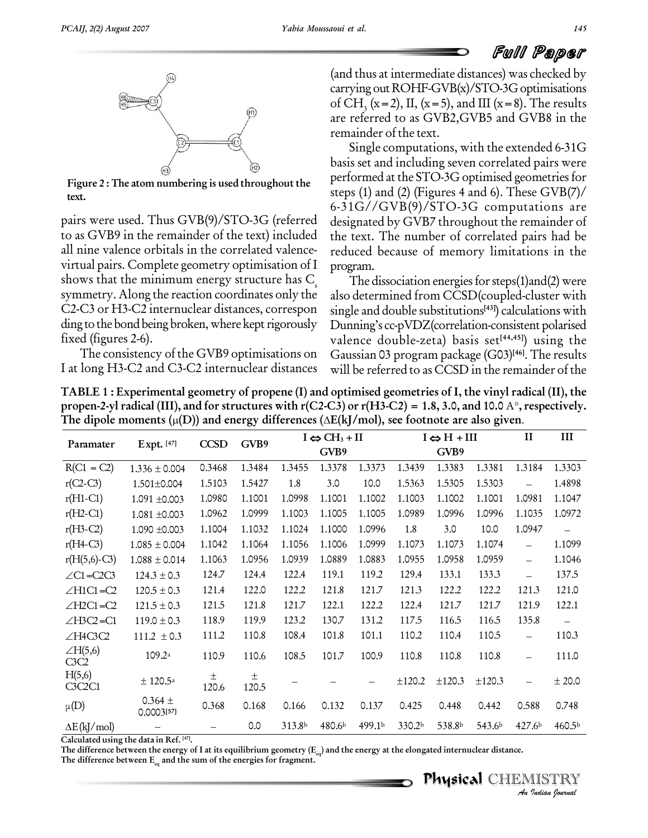

**Figure 2 : The atom numbering is used throughout the text.**

pairs were used. Thus GVB(9)/STO-3G (referred to as GVB9 in the remainder of the text) included all nine valence orbitals in the correlated valence virtual pairs. Complete geometry optimisation of I shows that the minimum energy structure has  $C_s$  symmetry. Along the reaction coordinates only the C2-C3 or H3-C2 internuclear distances, correspon ding to the bond being broken, where kept rigorously fixed (figures 2-6).

The consistency of the GVB9 optimisations on I at long H3-C2 and C3-C2 internuclear distances (and thus at intermediate distances) was checked by carrying out  $ROHF-GVB(x)/STO-3G$  optimisations of CH<sub>3</sub> (x=2), II, (x=5), and III (x=8). The results are referred to as GVB2,GVB5 and GVB8 in the remainder of the text.

Single computations, with the extended 6-31G basis set and including seven correlated pairs were performed at the STO-3G optimised geometries for steps (1) and (2) (Figures 4 and 6). These GVB(7)/ 6-31G//GVB(9)/STO-3G computations are designated by GVB7 throughout the remainder of the text. The number of correlated pairs had be reduced because of memory limitations in the program.

The dissociation energies for steps $(1)$ and $(2)$  were also determined from CCSD(coupled-cluster with single and double substitutions **[43]**) calculations with Dunning's cc-pVDZ(correlation-consistent polarised valence double-zeta) basis set **[44,45]**) using the Gaussian 03 program package (G03) **[46]**. The results will be referred to as CCSD in the remainder of the

TABLE 1 : Experimental geometry of propene (I) and optimised geometries of I, the vinyl radical (II), the **propen-2-yl radical (III), and for structures with r(C2-C3) or r(H3-C2) <sup>=</sup> 1.8, 3.0, and 10.0** <sup>A</sup>**,respectively. TABLE 1 : Experimental geometry of propene (I) and optimised geometries of I, the vinyl radical propen-2-yl radical (III), and for structures with r(C2-C3) or r(H3-C2) = 1.8, 3.0, and 10.0 A°, resp<br>The dipole moments (µ(D** The dipole moments  $(\mu(D))$  and energy differences  $(\Delta E(kJ/mol))$ , see footnote are also given.

| Paramater               | Expt. [47]                | <b>CCSD</b> | GVB9       | $I \Leftrightarrow CH_3 + II$ |        |        | $I \Leftrightarrow H + III$ |        |        | $\mathbf{I}$             | III                |
|-------------------------|---------------------------|-------------|------------|-------------------------------|--------|--------|-----------------------------|--------|--------|--------------------------|--------------------|
|                         |                           |             |            |                               | GVB9   |        |                             | GVB9   |        |                          |                    |
| $R(C1 = C2)$            | $1.336 \pm 0.004$         | 0.3468      | 1.3484     | 1.3455                        | 1.3378 | 1.3373 | 1.3439                      | 1.3383 | 1.3381 | 1.3184                   | 1.3303             |
| $r(C2-C3)$              | $1.501 \pm 0.004$         | 1.5103      | 1.5427     | 1.8                           | 3.0    | 10.0   | 1.5363                      | 1.5305 | 1.5303 |                          | 1.4898             |
| $r(H1-C1)$              | $1.091 + 0.003$           | 1.0980      | 1.1001     | 1.0998                        | 1.1001 | 1.1002 | 1.1003                      | 1.1002 | 1.1001 | 1.0981                   | 1.1047             |
| $r(H2-C1)$              | $1.081 + 0.003$           | 1.0962      | 1.0999     | 1.1003                        | 1.1005 | 1.1005 | 1.0989                      | 1.0996 | 1.0996 | 1.1035                   | 1.0972             |
| $r(H3-C2)$              | 1.090 ±0.003              | 1.1004      | 1.1032     | 1.1024                        | 1.1000 | 1.0996 | 1.8                         | 3.0    | 10.0   | 1.0947                   | $\equiv$           |
| $r(H4-C3)$              | $1.085\pm0.004$           | 1.1042      | 1.1064     | 1.1056                        | 1.1006 | 1.0999 | 1.1073                      | 1.1073 | 1.1074 | $\overline{\phantom{0}}$ | 1.1099             |
| $r(H(5,6)$ -C3)         | $1.088 \pm 0.014$         | 1.1063      | 1.0956     | 1.0939                        | 1.0889 | 1.0883 | 1.0955                      | 1.0958 | 1.0959 | $\overline{\phantom{0}}$ | 1.1046             |
| $\angle$ C1=C2C3        | $124.3 \pm 0.3$           | 124.7       | 124.4      | 122.4                         | 119.1  | 119.2  | 129.4                       | 133.1  | 133.3  | $\overline{\phantom{0}}$ | 137.5              |
| $\angle H1Cl = C2$      | $120.5 \pm 0.3$           | 121.4       | 122.0      | 122.2                         | 121.8  | 121.7  | 121.3                       | 122.2  | 122.2  | 121.3                    | 121.0              |
| $\angle$ H2C1=C2        | $121.5 \pm 0.3$           | 121.5       | 121.8      | 121.7                         | 122.1  | 122.2  | 122.4                       | 121.7  | 121.7  | 121.9                    | 122.1              |
| $\angle$ H3C2=C1        | $119.0 \pm 0.3$           | 118.9       | 119.9      | 123.2                         | 130.7  | 131.2  | 117.5                       | 116.5  | 116.5  | 135.8                    |                    |
| $\angle$ H4C3C2         | $111.2 \pm 0.3$           | 111.2       | 110.8      | 108.4                         | 101.8  | 101.1  | 110.2                       | 110.4  | 110.5  | $\overline{\phantom{0}}$ | 110.3              |
| $\angle H(5,6)$<br>C3C2 | 109.2a                    | 110.9       | 110.6      | 108.5                         | 101.7  | 100.9  | 110.8                       | 110.8  | 110.8  | $\equiv$                 | 111.0              |
| H(5,6)<br>C3C2C1        | ± 120.5 <sup>a</sup>      | 土<br>120.6  | 土<br>120.5 |                               |        |        | ±120.2                      | ±120.3 | ±120.3 |                          | ± 20.0             |
| $\mu(D)$                | 0.364 $\pm$<br>0.0003[57] | 0.368       | 0.168      | 0.166                         | 0.132  | 0.137  | 0.425                       | 0.448  | 0.442  | 0.588                    | 0.748              |
| $\Delta E$ (kJ/mol)     |                           |             | 0.0        | 313.8b                        | 480.6b | 499.1b | 330.2b                      | 538.8b | 543.6b | 427.6b                   | 460.5 <sup>b</sup> |

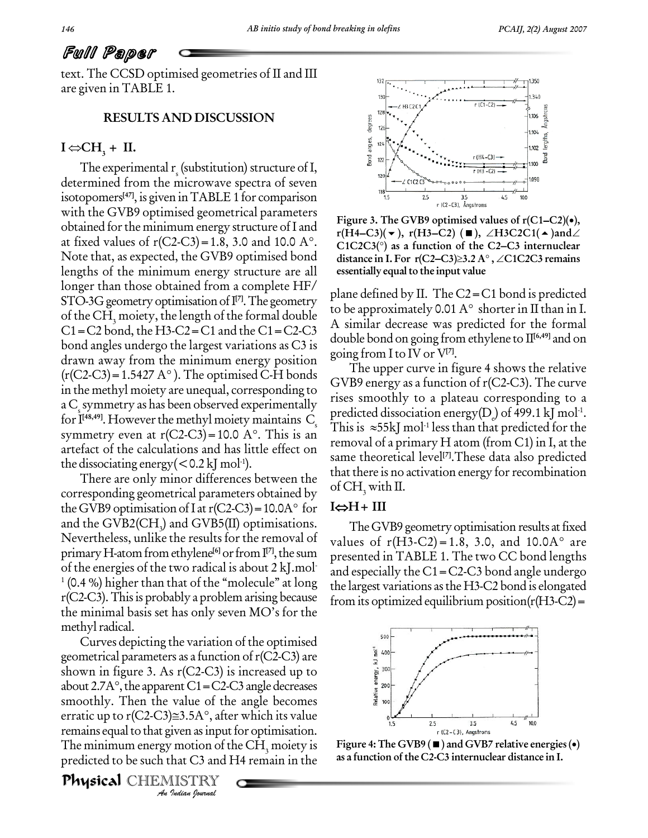text. The CCSD optimised geometries of II and III are given in TABLE 1.

# **RESULTS AND DISCUSSION**<br> **I** ⇔CH<sub>3</sub> + **II.**

The experimental  $r_s$  (substitution) structure of I,<br>determined from the microwave spectra of seven isotopomers **[47]**, is given inTABLE 1 for comparison with the GVB9 optimised geometrical parameters obtained for the minimum energy structure of I and at fixed values of  $r(C2-C3)=1.8$ , 3.0 and 10.0 A°.  $\hat{C1C2C3}$  as a function of the C2–C3 internuclear Note that, as expected, the GVB9 optimised bond distance in I. For  $r(C2-C3) \geq 3.2 A^{\circ}$ ,  $\angle C1C2C3$  remains lengths of the minimum energy structure are all longer than those obtained from a complete HF/ STO-3G geometry optimisation of  $\mathbb{I}^{7}$ . The geometry  $\frac{1}{\epsilon}$ of the CH<sub>3</sub> moiety, the length of the formal double to be approximately 0.01 A $\degree$  shorter in II than in I.  $C1 = C2$  bond, the H3-C2 = C1 and the C1 = C2-C3 bond angles undergo the largest variations as C3 is<br>drawn away from the minimum energy position going!<br>(r(C2-C3)=1.5427 A°). The optimised C-H bonds drawn away from the minimum energy position in the methyl moiety are unequal, corresponding to a C<sub>s</sub> symmetry as has been observed experimentally for  $\rm I^{[48,49]}$ . F a C<sub>s</sub> symmetry as has been observed experimentally<br>for I<sup>48,49</sup>. However the methyl moiety maintains C<sub>s</sub> predicte<br>symmetry even at r(C2-C3)=10.0 A°. This is an artefact of the calculations and has little effect on the dissociating energy (  $<$  0.2 kJ mol<sup>-1</sup>).

There are only minor differences between the corresponding geometrical parameters obtained by  $\frac{1}{2}$  Or  $\frac{1}{3}$ There are only minor differences between the<br>corresponding geometrical parameters obtained by<br>the GVB9 optimisation of I at r(C2-C3) = 10.0A° for  $I \Leftrightarrow I$ and the GVB2(CH<sub>3</sub>) and GVB5(II) optimisations. The GVB9 geometry optimisation results at fixed<br>Nevertheless, unlike the results for the removal of values of r(H3-C2) = 1.8, 3.0, and 10.0A° are primary H-atom from ethylene<sup>[6]</sup> or from I<sup>[7]</sup>, the sum presented in of the energies of the two radical is about 2 kJ.mol  $\frac{1}{2}$  $1$  (0.4 %) higher than that of the "molecule" at long  $r(C2-C3)$ . This is probably a problem arising because the minimal basis set has only seven  $MO$ 's for the methyl radical.

*An*smoothly. Then the value of the angle becomes value of th<br>*J*≅3.5A°, after<br>*I* iven as input<br>*I* motion of that C3 and *I*<br>IISTRY Curves depicting the variation of the optimised geometrical parameters as a function of r(C2-C3) are<br>shown in figure 3. As r(C2-C3) is increased up to<br>about 2.7A°, the apparent C1=C2-C3 angle decreases shown in figure 3. As r(C2-C3) is increased up to about 2.7A°, the apparent C1=C2-C3 angle decreases<br>smoothly. Then the value of the angle becomes<br>erratic up to r(C2-C3)≅3.5A°, after which its value remains equal to that given as input for optimisation. The minimum energy motion of the  $CH<sub>3</sub>$  moiety is predicted to be such that C3 and H4 remain in the

**Physical** CHEMISTRY



**Figure 3. The GVB9 optimised values of r(C1−C2)(•),**<br>**r(H4−C3)( → ), r(H3−C2) (■),** ∠H3C2C1(▲)and∠ Figure 3. The GVB9 optimised values of r(C1–C2)(●),<br>r(H4–C3)(▼), r(H3–C2) (■), ∠H3C2C1(▲)and∠<br>C1C2C3(°) as a function of the C2–C3 internuclear **r**(H4–C3)(▼), r(H3–C2) (■), ∠H3C2C1(▲)and∠<br>C1C2C3(°) as a function of the C2–C3 internuclear<br>distance in I. For r(C2–C3)≥3.2 A°, ∠C1C2C3 remains **essentially** equal to the input value

plane defined by II. The C2=C1 bond is predicted the approximately 0.01 A $^{\circ}$  shorter in II than in I.<br>to be approximately 0.01 A $^{\circ}$  shorter in II than in I. A similar decrease was predicted for the formal double bond on going from ethylene to II **[6,49]** and on going from I to IV or V**[7]**.

The upper curve in figure 4 shows the relative GVB9 energy as a function of  $r(C2-C3)$ . The curve rises smoothly to a plateau corresponding to a predicted dissociation energy(D) of 499.1 kJ mol $^{\text{1}}$ . rises smoothly to a pl<br>predicted dissociation e<br>This is ≈55kJ mol<sup>1</sup> less -1 less than that predicted for the removal of a primary H atom (from C1) in I, at the same theoretical level **[7]**.These data also predicted that there is no activation energy for recombination<br>of CH<sub>3</sub> with II.<br>**I⇔H+ III** of  $CH<sub>3</sub>$  with II.

The GVB9 geometry optimisation results at fixed 1⇔H + 111<br>The GVB9 geometry optimisation results at fixed<br>values of r(H3-C2) = 1.8, 3.0, and 10.0A° are presented in TABLE 1. The two CC bond lengths and especially the  $C1 = C2-C3$  bond angle undergo the largest variations asthe H3-C2 bond is elongated from its optimized equilibrium position $(r(H3-C2))$ =



**as a function ofthe C2-C3 internuclear distance in I.**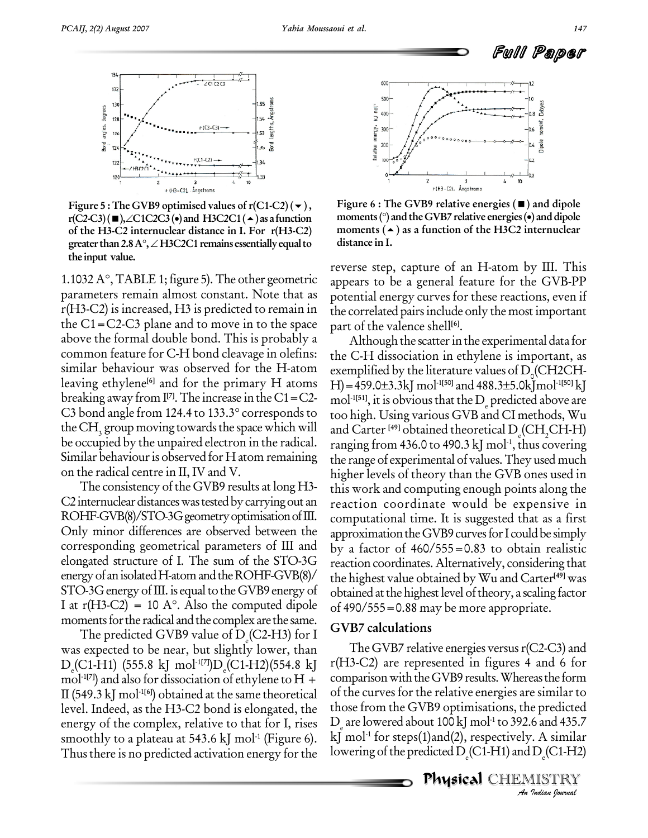

**Figure** 5 **:** The GVB9 optimised values of  $r(C1-C2)$  ( $\rightarrow$ ), **of the H3-C2 internuclear distance in I. For r(H3-C2) greater than2.8A,H3C2C1 remains essentiallyequalto the input value.**

1.1032  $A^{\circ}$ , TABLE 1; figure 5). The other geometric parameters remain almost constant. Note that as r(H3-C2) is increased, H3 is predicted to remain in the C1=C2-C3 plane and to move in to the space above the formal double bond. This is probably a common feature for C-H bond cleavage in olefins: leaving ethylene<sup>[6]</sup> and for the primary H atoms  $H$ ]=45<br>breaking away from  $I<sup>[7]</sup>$ . The increase in the C1=C2- mol<sup>-1[51]</sup><br>C3 bond angle from 124.4 to 133.3° corresponds to too hig. breaking away from  $\mathbb{I}^{7}$ . The increase in the C1=C2-  $\mathbb{I}$ the CH<sub>3</sub> group moving towards the space which will be occupied by the unpaired electron in the radical. Similar behaviour is observed for H atom remaining on the radical centre in II, IV and V.

The consistency of the GVB9 results at long H3- C2 internuclear distances was tested by carrying out an ROHF-GVB(8)/STO-3G geometry optimisation of III. Only minor differences are observed between the corresponding geometrical parameters of III and elongated structure of I. The sum of the STO-3G energy of an isolated H-atom and the ROHF-GVB(8)/ STO-3G energy of III. is equal to the GVB9 energy of  $\rm ~\,$   $\rm~_{obtai}$ energy of an isolated H-atom and the ROHF-GVB(8)/ the h:<br>STO-3G energy of III. is equal to the GVB9 energy of obtain<br>I at r(H3-C2) = 10 A°. Also the computed dipole of 490 moments for the radical and the complex are the same.

The predicted GVB9 value of  $D_{\text{C}}(C2-H3)$  for I was expected to be near, but slightly lower, than D<sub>e</sub>(C1-H1) (555.8 kJ mol<sup>-1[7]</sup>)D<sub>e</sub>(C1-H2)(554.8 kJ r(H. mol<sup>-1[7]</sup>) and also for dissociation of ethylene to H + comparison v II (549.3 kJ mol -1**[6]**) obtained at the same theoretical level. Indeed, as the H3-C2 bond is elongated, the energy of the complex, relative to that for I, rises smoothly to a plateau at 543.6 kJ mol $^{\text{-}1}$  (Figure 6).  $\;$  kJ Thus there is no predicted activation energy for the



**Figure 5 :** The GVB9 optimised values of r(C1-C2)(▼),<br> **rigure 6 :** The GVB9 relative energies (■) and dipole<br>
r(C2-C3)(■), ∠C1C2C3(●) and H3C2C1(▲) as a function moments (°) and the GVB7 relative energies (●) and dipole **Figure 6 :The GVB9 relative energies () and dipole moments() and the GVB7 relative energies() and dipole moments () as a function of the H3C2 internuclear distance in I.**

reverse step, capture of an H-atom by III. This appears to be a general feature for the GVB-PP potential energy curves for these reactions, even if the correlated pairsinclude only the most important part of the valence shell **[6]**.

similar behaviour was observed for the H-atom exemplified by the literature values of  $D<sub>0</sub>(CH2CH-$ Although the scatter in the experimental data for the C-H dissociation in ethylene is important, as<br>exemplified by the literature values of D<sub>0</sub>(CH2CH-<br>H)=459.0±3.3kJ mol<sup>-1[50]</sup> and 488.3±5.0kJmol<sup>-1[50]</sup> kJ  $H$ ) = 459.0 $\pm$ 3.3kJ mol<sup>-1[50]</sup> and 488.3 $\pm$ 5.0kJ mol<sup>-1[50]</sup> kJ mol<sup>-1[51]</sup>, it is obvious that the D<sub>e</sub> predicted above are too high. Using various GVB and CI methods, Wu and Carter <sup>[49]</sup> obtained theoretical D<sub>e</sub>(CH<sub>2</sub>CH-H) ranging from 436.0 to 490.3 kJ mol -1 , thus covering the range of experimental of values.They used much higher levels of theory than the GVB ones used in this work and computing enough points along the reaction coordinate would be expensive in computational time. It is suggested that as a first approximation the GVB9 curves for I could be simply by a factor of  $460/555=0.83$  to obtain realistic reaction coordinates. Alternatively, considering that the highest value obtained by Wu and Carter **[49]** was obtained at the highest level of theory, a scaling factor of 490/555=0.88 may be more appropriate.

#### **GVB7 calculations**

*An*those from the GVB9 optimisations, the predicted *I* e predicted<br>*I* and 435.7<br>*I* . A similar<br>D<sub>e</sub>(C1-H2)<br>IISTRY The GVB7 relative energies versus  $r(C2-C3)$  and r(H3-C2) are represented in figures 4 and 6 for comparison with the GVB9 results. Whereas the form of the curves for the relative energies are similar to  $\rm D_{_{e}}$  are lowered about 100 kJ mol $^{\rm 1}$  to 392.6 and 435.7 kJ mol -1 for steps(1)and(2), respectively. A similar lowering of the predicted  $D_e(C1-H1)$  and  $D_e(C1-H2)$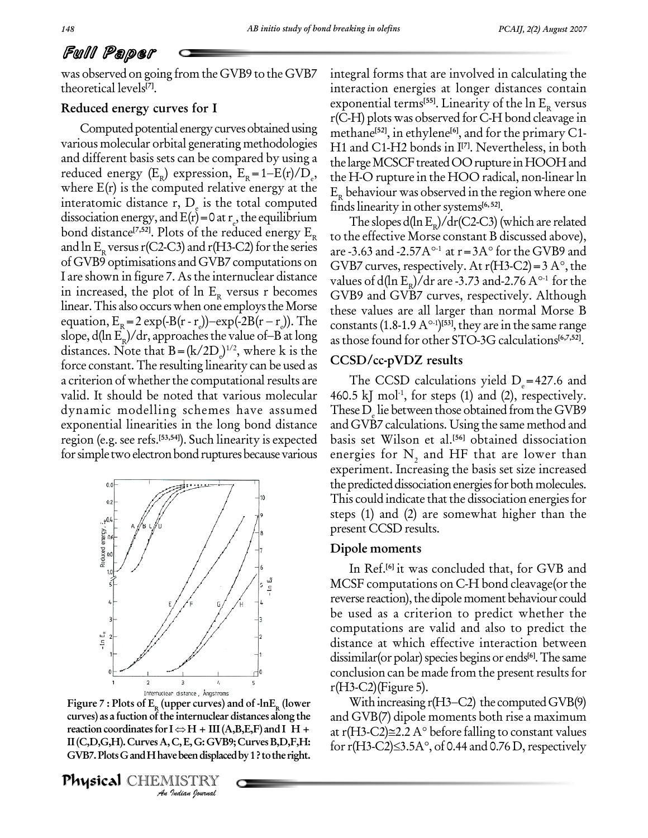was observed on going from the GVB9 to the GVB7 theoretical levels **[7]**.

# **Reduced energy curves for I**

Computed potential energy curves obtained using various molecular orbital generating methodologies and different basis sets can be compared by using a reduced energy  $(E_{\rm R})$  expre various molecular orbital generating methodologies H1 and different basis sets can be compared by using a the lareduced energy ( $E_R$ ) expression,  $E_R = 1-E(r)/D_e$ , the H where E(r) is the computed relative energy at the interatomic distance  $r, D<sub>e</sub>$  is the total computed dissociation energy, and  $E(r) = 0$  at  $r_e$ , the equilibrium The slope bond distance<sup>[7,52]</sup>. Plots of the reduced energy  $\rm E_R$  to the and  $\ln E_R$  versus r(C2-C3) and r(H3-C2) for the series are -3.63 and -2.57A<sup>o-1</sup> at r = 3A<sup>o</sup> for the GVB9 and ofGVB9 optimisations and GVB7 computations on I are shown in figure 7. As the internuclear distance in increased, the plot of ln E<sub>R</sub> versus r becomes GV<br>linear. This also occurs when one employs the Morse thes<br>equation, E<sub>R</sub> = 2 exp(-B(r - r<sub>e</sub>))-exp(-2B(r - r<sub>e</sub>)). The conlinear. This also occurs when one employs the Morse equation,  $E_R = 2 \exp(-B(r - r)) - \exp(-2B(r - r))$ . The const slope,  $d(\ln E_R)/dr$ , approaches the value of–B at long so occurs when one employs the Morse<br>= 2 exp(-B(r - r))-exp(-2B(r – r)). The<br>)/dr, approaches the value of–B at long distances. Note that  $B = (k/2D_e)^{1/2}$ , where k is the force constant. The resulting linearity can be used as a criterion of whether the computational results are valid. It should be noted that various molecular dynamic modelling schemes have assumed exponential linearities in the long bond distance region (e.g. see refs. **[53,54]**). Such linearity is expected for simple two electron bond ruptures because various



Figure 7 : Plots of E<sub>R</sub> (upper curves) and of -lnE<sub>R</sub> (lower With curves) as a fuction of the internuclear distances along the and GVI reaction coordinates for I  $\Leftrightarrow$  H + III (A,B,E,F) and I H + at r(H3-C *I* e internuclear<br>*I*  $\Leftrightarrow$  H + III (A<br>C, E, G: GVB?<br>*I* ISTRY<br>IISTRY **curves) as a fuction ofthe internuclear distances along the GVB7.PlotsGandHhavebeendisplacedby1?tothe right.**

Physical CHEMISTRY

integral forms that are involved in calculating the interaction energies at longer distances contain exponential terms<sup>[55]</sup>. Linearity of the  $\ln E_{\rm R}$  versus r(C-H) plots was observed for C-H bond cleavage in methane **[52]**, in ethylene **[6]**, and forthe primary C1- H1 and C1-H2 bonds in I **[7]**. Nevertheless, in both the large MCSCF treated OO rupture in HOOH and the H-O rupture in the HOO radical, non-linear ln  $E<sub>p</sub>$  behaviour was observed in the region where one findslinearity in othersystems **[6, 52]**.

The slopes d(ln E<sub>R</sub>)/dr(C2-C3) (which are related<br>to the effective Morse constant B discussed above),<br>are -3.63 and -2.57A<sup>o-1</sup> at r = 3A° for the GVB9 and to the effective Morse constant B discussed above), GVB7 curves, respectively. At  $r(H3-C2)=3 A^{\circ}$ , the are -3.63 and -2.57A<sup>o-1</sup> at r = 3A° for the GVB9 and<br>GVB7 curves, respectively. At r(H3-C2) = 3A°, the<br>values of d(ln E<sub>R</sub>)/dr are -3.73 and-2.76 A°<sup>-1</sup> for the GVB9 and GVB7 curves, respectively. Although<br>these values are all larger than normal Morse B<br>constants (1.8-1.9 A°-1)<sup>[53]</sup>, they are in the same range these values are all larger than normal Morse B constants  $(1.8-1.9 \text{ A}^{\circ 1})^{[53]}$ , they are in the same range asthose found for other STO-3G calculations **[6,7,52]**.

## **CCSD/cc-pVDZ results**

The CCSD calculations yield  $D_e$ =427.6 and 460.5 kJ mol $^{\text{-1}}$ , for steps (1) and (2), respectively. These  $D_{\rm g}$  lie between those obtained from the GVB9 and GVB7 calculations. Using the same method and basis set Wilson et al. **[56]** obtained dissociation energies for  $N<sub>2</sub>$  and HF that are lower than experiment. Increasing the basis set size increased the predicted dissociation energies for both molecules. This could indicate that the dissociation energies for steps (1) and (2) are somewhat higher than the present CCSD results.

### **Dipole moments**

In Ref. **[6]** it was concluded that, for GVB and MCSF computations on C-H bond cleavage (or the reverse reaction), the dipole moment behaviour could be used as a criterion to predict whether the computations are valid and also to predict the distance at which effective interaction between dissimilar(or polar) species begins or ends<sup>[6]</sup>. The same conclusion can be made from the present results for<br>r(H3-C2)(Figure 5).<br>With increasing r(H3–C2) the computed GVB(9)

and GVB(7) dipole moments both rise a maximum With increasing r(H3–C2) the computed GVB(9)<br>and GVB(7) dipole moments both rise a maximum<br>at r(H3-C2)≅2.2 A° before falling to constant values and GVB(7) dipole moments both rise a maximum<br>at r(H3-C2)≅2.2 A° before falling to constant values<br>for r(H3-C2)≤3.5A°, of 0.44 and 0.76 D, respectively  $\text{II}(C, D, G, H)$ . Curves A, C, E, G: GVB9; Curves B, D, F, H: for  $\text{r}(H_3-C2) \leq 3.5 \text{A}^{\circ}$ , of 0.44 and 0.76 D, respectively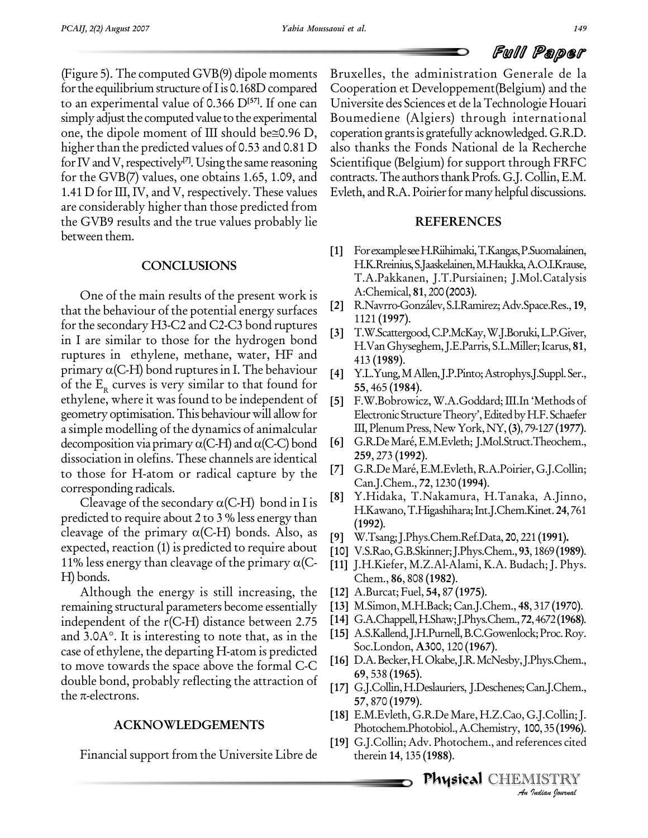(Figure 5).The computed GVB(9) dipole moments for the equilibrium structure of I is  $0.168D$  compared to an experimental value of 0.366 D<sup>[57]</sup>. If one can Univers<br>simply adjust the computed value to the experimental Boume<br>one, the dipole moment of III should be≅0.96 D, coperati simply adjust the computed value to the experimental higher than the predicted values of 0.53 and 0.81 D for IV and V, respectively<sup>[7]</sup>. Using the same reasoning Scient for the GVB(7) values, one obtains 1.65, 1.09, and 1.41 D for III, IV, and V, respectively. These values are considerably higher than those predicted from the GVB9 results and the true values probably lie between them.

## **CONCLUSIONS**

One of the main results of the present work is that the behaviour of the potential energy surfaces for the secondary H3-C2 and C2-C3 bond ruptures in I are similar to those for the hydrogen bond ruptures in ethylene, methane, water, HF and primary  $\alpha$ (C-H) bond ruptures in I. The behaviour of the  $E_R$  curves is very similar to that found for ethylene, where it was found to be independent of geometry optimisation. This behaviour will allow for a simple modelling of the dynamics of animalcular decomposition via primary  $\alpha$ (C-H) and  $\alpha$ (C-C) bond dissociation in olefins. These channels are identical to those for H-atom or radical capture by the  $\begin{bmatrix} 7 \end{bmatrix}$  (corresponding radicals.<br>Cleavage of the secondary  $\alpha$ (C-H) bond in I is  $\begin{bmatrix} 8 \end{bmatrix}$ corresponding radicals.

predicted to require about 2 to 3 % less energy than Cleavage of the secondary  $\alpha$ (C-H) bond in I is<br>predicted to require about 2 to 3 % less energy than<br>cleavage of the primary  $\alpha$ (C-H) bonds. Also, as expected, reaction (1) is predicted to require about cleavage of the primary  $\alpha$ (C-H) bonds. Also, as [9]<br>expected, reaction (1) is predicted to require about [10]<br>11% less energy than cleavage of the primary  $\alpha$ (C-H) bonds.

Although the energy is still increasing, the remaining structural parameters become essentially independent of the r(C-H) distance between 2.75 remaining structural parameters become essentially [13] lindependent of the r(C-H) distance between 2.75 [14]  $\alpha$  and 3.0A°. It is interesting to note that, as in the [15]  $\alpha$ case of ethylene, the departing H-atom is predicted to move towards the space above the formal C-C [16] D.A. B.<br>double bond, probably reflecting the attraction of [17] G.J.Co<br>the  $\pi$ -electrons. double bond, probably reflecting the attraction of

# **ACKNOWLEDGEMENTS**

Financial support from the Universite Libre de

Bruxelles, the administration Generale de la Cooperation et Developpement(Belgium) and the Universite des Sciences et de laTechnologie Houari Boumediene (Algiers) through international coperation grants is gratefully acknowledged. G.R.D. also thanks the Fonds National de la Recherche Scientifique (Belgium) for support through FRFC contracts.The authorsthankProfs.G.J.Collin,E.M. Evleth, and R.A. Poirier for many helpful discussions.

## **REFERENCES**

- **[1]** ForexampleseeH.Riihimaki,T.Kangas,P.Suomalainen, H.K.Rreinius,S.Jaaskelainen,M.Haukka,A.O.I.Krause, T.A.Pakkanen, J.T.Pursiainen; J.Mol.Catalysis A:Chemical, **81**, 200 **(2003)**.
- **[2]** R.Navrro-Gonz·lev,S.I.Ramirez;Adv.Space.Res.,**19**, 1121 **(1997)**.
- **[3]** T.W.Scattergood,C.P.McKay,W.J.Boruki,L.P.Giver, H.VanGhyseghem,J.E.Parris, S.L.Miller;Icarus, **81**, 413 **(1989)**.
- **[4]** Y.L.Yung,MAllen,J.P.Pinto;Astrophys.J.Suppl.Ser., **55**, 465 **(1984)**.
- **[5]** F.W.Bobrowicz, W.A.Goddard;III.In ëMethods of Electronic Structure Theory', Edited by H.F. Schaefer III,PlenumPress,NewYork,NY,**(3)**, 79-127 **(1977)**.
- **[6]** G.R.DeMarÈ,E.M.Evleth; J.Mol.Struct.Theochem., **259**, 273 **(1992)**.
- **[7]** G.R.DeMarÈ,E.M.Evleth, R.A.Poirier,G.J.Collin; Can.J.Chem., **72**, 1230 **(1994)**.
- **[8]** Y.Hidaka, T.Nakamura, H.Tanaka, A.Jinno, H.Kawano,T.Higashihara;Int.J.Chem.Kinet.**24**,761 **(1992)**.
- **[9]** W.Tsang;J.Phys.Chem.Ref.Data, **20**, 221 **(1991).**
- **[10]** V.S.Rao,G.B.Skinner;J.Phys.Chem.,**93**,1869**(1989)**.
- **[11]** J.H.Kiefer, M.Z.Al-Alami, K.A. Budach; J. Phys. Chem., **86**, 808 **(1982)**.
- **[12]** A.Burcat; Fuel, **54,** 87 **(1975)**.
- **[13]** M.Simon,M.H.Back;Can.J.Chem., **48**, 317 **(1970)**.
- **[14]** G.A.Chappell,H.Shaw;J.Phys.Chem.,**72**,4672**(1968)**.
- **[15]** A.S.Kallend,J.H.Purnell,B.C.Gowenlock;Proc.Roy. Soc.London, **A300**, 120 **(1967)**.
- **[16]** D.A.Becker,H.Okabe,J.R.McNesby,J.Phys.Chem., **69**, 538 **(1965)**.
- [17] G.J.Collin, H.Deslauriers, J.Deschenes; Can.J.Chem., **57**, 870 **(1979)**.
- **[18]** E.M.Evleth, G.R.De Mare, H.Z.Cao,G.J.Collin;J. Photochem.Photobiol.,A.Chemistry, **100**,35**(1996)**.
- *I*.J.Collin; J.<br>00, 35 (1996).<br>Prences cited<br>IISTRY **[19]** G.J.Collin; Adv. Photochem., and references cited therein **14**, 135 **(1988)**.

.<br>**Physical** CHEMISTRY